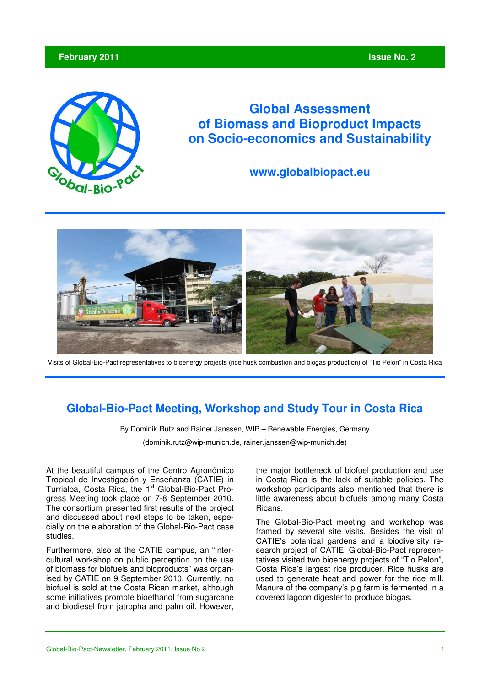# **February 2011 Issue No. 2**  *Issue No. 2* **<b>** *Issue No. 2*



# **Global Assessment of Biomass and Bioproduct Impacts on Socio-economics and Sustainability**

# **www.globalbiopact.eu**



Visits of Global-Bio-Pact representatives to bioenergy projects (rice husk combustion and biogas production) of "Tio Pelon" in Costa Rica

# **Global-Bio-Pact Meeting, Workshop and Study Tour in Costa Rica**

By Dominik Rutz and Rainer Janssen, WIP – Renewable Energies, Germany

(dominik.rutz@wip-munich.de, rainer.janssen@wip-munich.de)

At the beautiful campus of the Centro Agronómico Tropical de Investigación y Enseñanza (CATIE) in Turrialba, Costa Rica, the 1<sup>st</sup> Global-Bio-Pact Progress Meeting took place on 7-8 September 2010. The consortium presented first results of the project and discussed about next steps to be taken, especially on the elaboration of the Global-Bio-Pact case studies.

Furthermore, also at the CATIE campus, an "Intercultural workshop on public perception on the use of biomass for biofuels and bioproducts" was organised by CATIE on 9 September 2010. Currently, no biofuel is sold at the Costa Rican market, although some initiatives promote bioethanol from sugarcane and biodiesel from jatropha and palm oil. However, the major bottleneck of biofuel production and use in Costa Rica is the lack of suitable policies. The workshop participants also mentioned that there is little awareness about biofuels among many Costa Ricans.

The Global-Bio-Pact meeting and workshop was framed by several site visits. Besides the visit of CATIE's botanical gardens and a biodiversity research project of CATIE, Global-Bio-Pact representatives visited two bioenergy projects of "Tio Pelon", Costa Rica's largest rice producer. Rice husks are used to generate heat and power for the rice mill. Manure of the company's pig farm is fermented in a covered lagoon digester to produce biogas.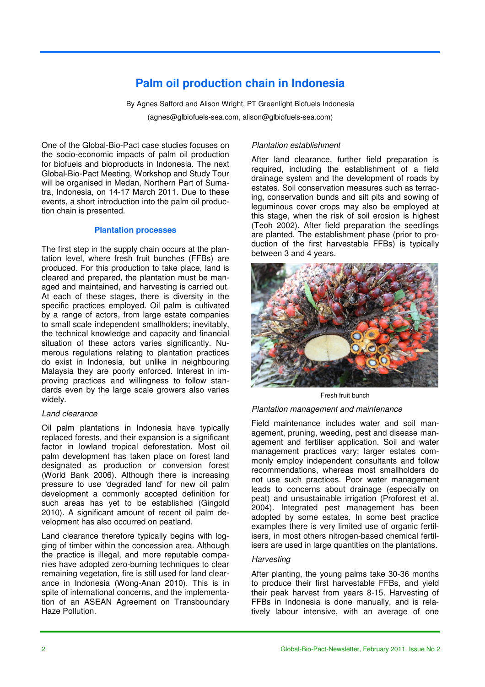# **Palm oil production chain in Indonesia**

By Agnes Safford and Alison Wright, PT Greenlight Biofuels Indonesia (agnes@glbiofuels-sea.com, alison@glbiofuels-sea.com)

One of the Global-Bio-Pact case studies focuses on the socio-economic impacts of palm oil production for biofuels and bioproducts in Indonesia. The next Global-Bio-Pact Meeting, Workshop and Study Tour will be organised in Medan, Northern Part of Sumatra, Indonesia, on 14-17 March 2011. Due to these events, a short introduction into the palm oil production chain is presented.

#### **Plantation processes**

The first step in the supply chain occurs at the plantation level, where fresh fruit bunches (FFBs) are produced. For this production to take place, land is cleared and prepared, the plantation must be managed and maintained, and harvesting is carried out. At each of these stages, there is diversity in the specific practices employed. Oil palm is cultivated by a range of actors, from large estate companies to small scale independent smallholders; inevitably, the technical knowledge and capacity and financial situation of these actors varies significantly. Numerous regulations relating to plantation practices do exist in Indonesia, but unlike in neighbouring Malaysia they are poorly enforced. Interest in improving practices and willingness to follow standards even by the large scale growers also varies widely.

#### *Land clearance*

Oil palm plantations in Indonesia have typically replaced forests, and their expansion is a significant factor in lowland tropical deforestation. Most oil palm development has taken place on forest land designated as production or conversion forest (World Bank 2006). Although there is increasing pressure to use 'degraded land' for new oil palm development a commonly accepted definition for such areas has yet to be established (Gingold 2010). A significant amount of recent oil palm development has also occurred on peatland.

Land clearance therefore typically begins with logging of timber within the concession area. Although the practice is illegal, and more reputable companies have adopted zero-burning techniques to clear remaining vegetation, fire is still used for land clearance in Indonesia (Wong-Anan 2010). This is in spite of international concerns, and the implementation of an ASEAN Agreement on Transboundary Haze Pollution.

# *Plantation establishment*

After land clearance, further field preparation is required, including the establishment of a field drainage system and the development of roads by estates. Soil conservation measures such as terracing, conservation bunds and silt pits and sowing of leguminous cover crops may also be employed at this stage, when the risk of soil erosion is highest (Teoh 2002). After field preparation the seedlings are planted. The establishment phase (prior to production of the first harvestable FFBs) is typically between 3 and 4 years.



Fresh fruit bunch

# *Plantation management and maintenance*

Field maintenance includes water and soil management, pruning, weeding, pest and disease management and fertiliser application. Soil and water management practices vary; larger estates commonly employ independent consultants and follow recommendations, whereas most smallholders do not use such practices. Poor water management leads to concerns about drainage (especially on peat) and unsustainable irrigation (Proforest et al. 2004). Integrated pest management has been adopted by some estates. In some best practice examples there is very limited use of organic fertilisers, in most others nitrogen-based chemical fertilisers are used in large quantities on the plantations.

### *Harvesting*

After planting, the young palms take 30-36 months to produce their first harvestable FFBs, and yield their peak harvest from years 8-15. Harvesting of FFBs in Indonesia is done manually, and is relatively labour intensive, with an average of one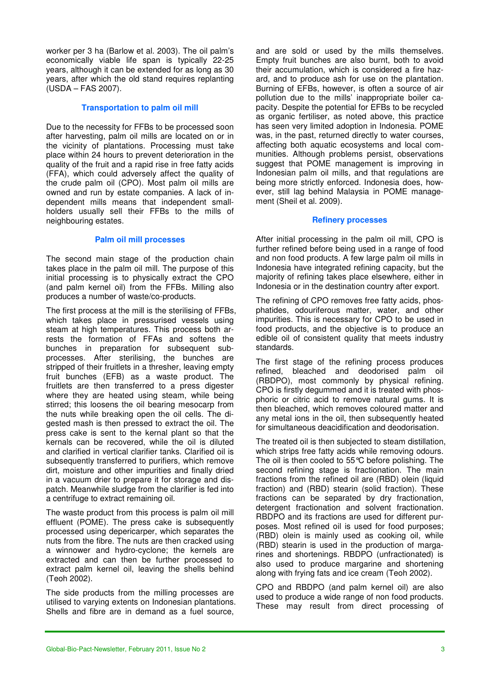worker per 3 ha (Barlow et al. 2003). The oil palm's economically viable life span is typically 22-25 years, although it can be extended for as long as 30 years, after which the old stand requires replanting (USDA – FAS 2007).

### **Transportation to palm oil mill**

Due to the necessity for FFBs to be processed soon after harvesting, palm oil mills are located on or in the vicinity of plantations. Processing must take place within 24 hours to prevent deterioration in the quality of the fruit and a rapid rise in free fatty acids (FFA), which could adversely affect the quality of the crude palm oil (CPO). Most palm oil mills are owned and run by estate companies. A lack of independent mills means that independent smallholders usually sell their FFBs to the mills of neighbouring estates.

### **Palm oil mill processes**

The second main stage of the production chain takes place in the palm oil mill. The purpose of this initial processing is to physically extract the CPO (and palm kernel oil) from the FFBs. Milling also produces a number of waste/co-products.

The first process at the mill is the sterilising of FFBs, which takes place in pressurised vessels using steam at high temperatures. This process both arrests the formation of FFAs and softens the bunches in preparation for subsequent subprocesses. After sterilising, the bunches are stripped of their fruitlets in a thresher, leaving empty fruit bunches (EFB) as a waste product. The fruitlets are then transferred to a press digester where they are heated using steam, while being stirred; this loosens the oil bearing mesocarp from the nuts while breaking open the oil cells. The digested mash is then pressed to extract the oil. The press cake is sent to the kernal plant so that the kernals can be recovered, while the oil is diluted and clarified in vertical clarifier tanks. Clarified oil is subsequently transferred to purifiers, which remove dirt, moisture and other impurities and finally dried in a vacuum drier to prepare it for storage and dispatch. Meanwhile sludge from the clarifier is fed into a centrifuge to extract remaining oil.

The waste product from this process is palm oil mill effluent (POME). The press cake is subsequently processed using depericarper, which separates the nuts from the fibre. The nuts are then cracked using a winnower and hydro-cyclone; the kernels are extracted and can then be further processed to extract palm kernel oil, leaving the shells behind (Teoh 2002).

The side products from the milling processes are utilised to varying extents on Indonesian plantations. Shells and fibre are in demand as a fuel source,

and are sold or used by the mills themselves. Empty fruit bunches are also burnt, both to avoid their accumulation, which is considered a fire hazard, and to produce ash for use on the plantation. Burning of EFBs, however, is often a source of air pollution due to the mills' inappropriate boiler capacity. Despite the potential for EFBs to be recycled as organic fertiliser, as noted above, this practice has seen very limited adoption in Indonesia. POME was, in the past, returned directly to water courses, affecting both aquatic ecosystems and local communities. Although problems persist, observations suggest that POME management is improving in Indonesian palm oil mills, and that regulations are being more strictly enforced. Indonesia does, however, still lag behind Malaysia in POME management (Sheil et al. 2009).

#### **Refinery processes**

After initial processing in the palm oil mill, CPO is further refined before being used in a range of food and non food products. A few large palm oil mills in Indonesia have integrated refining capacity, but the majority of refining takes place elsewhere, either in Indonesia or in the destination country after export.

The refining of CPO removes free fatty acids, phosphatides, odouriferous matter, water, and other impurities. This is necessary for CPO to be used in food products, and the objective is to produce an edible oil of consistent quality that meets industry standards.

The first stage of the refining process produces refined, bleached and deodorised palm oil (RBDPO), most commonly by physical refining. CPO is firstly degummed and it is treated with phosphoric or citric acid to remove natural gums. It is then bleached, which removes coloured matter and any metal ions in the oil, then subsequently heated for simultaneous deacidification and deodorisation.

The treated oil is then subjected to steam distillation, which strips free fatty acids while removing odours. The oil is then cooled to 55°C before polishing. The second refining stage is fractionation. The main fractions from the refined oil are (RBD) olein (liquid fraction) and (RBD) stearin (solid fraction). These fractions can be separated by dry fractionation, detergent fractionation and solvent fractionation. RBDPO and its fractions are used for different purposes. Most refined oil is used for food purposes; (RBD) olein is mainly used as cooking oil, while (RBD) stearin is used in the production of margarines and shortenings. RBDPO (unfractionated) is also used to produce margarine and shortening along with frying fats and ice cream (Teoh 2002).

CPO and RBDPO (and palm kernel oil) are also used to produce a wide range of non food products. These may result from direct processing of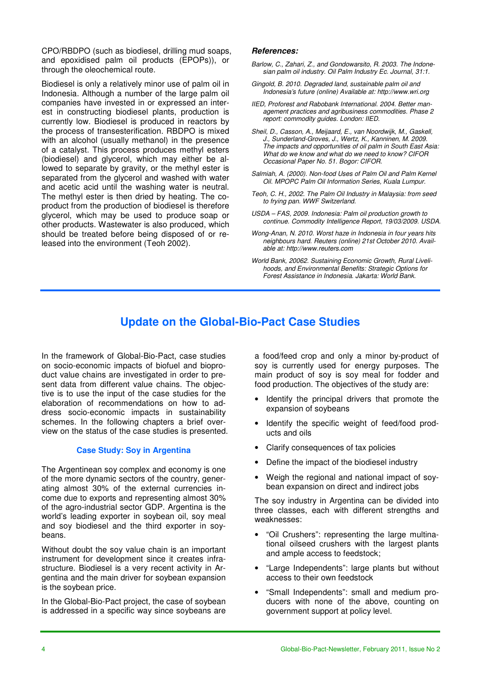CPO/RBDPO (such as biodiesel, drilling mud soaps, and epoxidised palm oil products (EPOPs)), or through the oleochemical route.

Biodiesel is only a relatively minor use of palm oil in Indonesia. Although a number of the large palm oil companies have invested in or expressed an interest in constructing biodiesel plants, production is currently low. Biodiesel is produced in reactors by the process of transesterification. RBDPO is mixed with an alcohol (usually methanol) in the presence of a catalyst. This process produces methyl esters (biodiesel) and glycerol, which may either be allowed to separate by gravity, or the methyl ester is separated from the glycerol and washed with water and acetic acid until the washing water is neutral. The methyl ester is then dried by heating. The coproduct from the production of biodiesel is therefore glycerol, which may be used to produce soap or other products. Wastewater is also produced, which should be treated before being disposed of or released into the environment (Teoh 2002).

#### **References:**

- *Barlow, C., Zahari, Z., and Gondowarsito, R. 2003. The Indonesian palm oil industry. Oil Palm Industry Ec. Journal, 31:1.*
- *Gingold, B. 2010. Degraded land, sustainable palm oil and Indonesia's future (online) Available at: http://www.wri.org*
- *IIED, Proforest and Rabobank International. 2004. Better management practices and agribusiness commodities. Phase 2 report: commodity guides. London: IIED.*
- *Sheil, D., Casson, A., Meijaard, E., van Noordwijk, M., Gaskell, J., Sunderland-Groves, J., Wertz, K., Kanninen, M. 2009. The impacts and opportunities of oil palm in South East Asia: What do we know and what do we need to know? CIFOR Occasional Paper No. 51. Bogor: CIFOR.*
- *Salmiah, A. (2000). Non-food Uses of Palm Oil and Palm Kernel Oil. MPOPC Palm Oil Information Series, Kuala Lumpur.*
- *Teoh, C. H., 2002. The Palm Oil Industry in Malaysia: from seed to frying pan. WWF Switzerland.*
- *USDA FAS, 2009. Indonesia: Palm oil production growth to continue. Commodity Intelligence Report, 19/03/2009. USDA.*
- *Wong-Anan, N. 2010. Worst haze in Indonesia in four years hits neighbours hard. Reuters (online) 21st October 2010. Available at: http://www.reuters.com*
- *World Bank, 20062. Sustaining Economic Growth, Rural Livelihoods, and Environmental Benefits: Strategic Options for Forest Assistance in Indonesia. Jakarta: World Bank.*

# **Update on the Global-Bio-Pact Case Studies**

In the framework of Global-Bio-Pact, case studies on socio-economic impacts of biofuel and bioproduct value chains are investigated in order to present data from different value chains. The objective is to use the input of the case studies for the elaboration of recommendations on how to address socio-economic impacts in sustainability schemes. In the following chapters a brief overview on the status of the case studies is presented.

# **Case Study: Soy in Argentina**

The Argentinean soy complex and economy is one of the more dynamic sectors of the country, generating almost 30% of the external currencies income due to exports and representing almost 30% of the agro-industrial sector GDP. Argentina is the world's leading exporter in soybean oil, soy meal and soy biodiesel and the third exporter in soybeans.

Without doubt the soy value chain is an important instrument for development since it creates infrastructure. Biodiesel is a very recent activity in Argentina and the main driver for soybean expansion is the soybean price.

In the Global-Bio-Pact project, the case of soybean is addressed in a specific way since soybeans are a food/feed crop and only a minor by-product of soy is currently used for energy purposes. The main product of soy is soy meal for fodder and food production. The objectives of the study are:

- Identify the principal drivers that promote the expansion of soybeans
- Identify the specific weight of feed/food products and oils
- Clarify consequences of tax policies
- Define the impact of the biodiesel industry
- Weigh the regional and national impact of soybean expansion on direct and indirect jobs

The soy industry in Argentina can be divided into three classes, each with different strengths and weaknesses:

- "Oil Crushers": representing the large multinational oilseed crushers with the largest plants and ample access to feedstock;
- "Large Independents": large plants but without access to their own feedstock
- "Small Independents": small and medium producers with none of the above, counting on government support at policy level.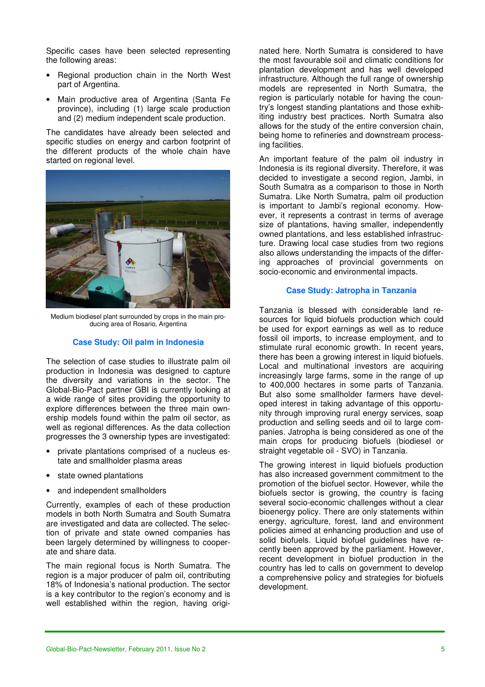Specific cases have been selected representing the following areas:

- Regional production chain in the North West part of Argentina.
- Main productive area of Argentina (Santa Fe province), including (1) large scale production and (2) medium independent scale production.

The candidates have already been selected and specific studies on energy and carbon footprint of the different products of the whole chain have started on regional level.



Medium biodiesel plant surrounded by crops in the main producing area of Rosario, Argentina

### **Case Study: Oil palm in Indonesia**

The selection of case studies to illustrate palm oil production in Indonesia was designed to capture the diversity and variations in the sector. The Global-Bio-Pact partner GBI is currently looking at a wide range of sites providing the opportunity to explore differences between the three main ownership models found within the palm oil sector, as well as regional differences. As the data collection progresses the 3 ownership types are investigated:

- private plantations comprised of a nucleus estate and smallholder plasma areas
- state owned plantations
- and independent smallholders

Currently, examples of each of these production models in both North Sumatra and South Sumatra are investigated and data are collected. The selection of private and state owned companies has been largely determined by willingness to cooperate and share data.

The main regional focus is North Sumatra. The region is a major producer of palm oil, contributing 18% of Indonesia's national production. The sector is a key contributor to the region's economy and is well established within the region, having originated here. North Sumatra is considered to have the most favourable soil and climatic conditions for plantation development and has well developed infrastructure. Although the full range of ownership models are represented in North Sumatra, the region is particularly notable for having the country's longest standing plantations and those exhibiting industry best practices. North Sumatra also allows for the study of the entire conversion chain, being home to refineries and downstream processing facilities.

An important feature of the palm oil industry in Indonesia is its regional diversity. Therefore, it was decided to investigate a second region, Jambi, in South Sumatra as a comparison to those in North Sumatra. Like North Sumatra, palm oil production is important to Jambi's regional economy. However, it represents a contrast in terms of average size of plantations, having smaller, independently owned plantations, and less established infrastructure. Drawing local case studies from two regions also allows understanding the impacts of the differing approaches of provincial governments on socio-economic and environmental impacts.

### **Case Study: Jatropha in Tanzania**

Tanzania is blessed with considerable land resources for liquid biofuels production which could be used for export earnings as well as to reduce fossil oil imports, to increase employment, and to stimulate rural economic growth. In recent years, there has been a growing interest in liquid biofuels. Local and multinational investors are acquiring increasingly large farms, some in the range of up to 400,000 hectares in some parts of Tanzania. But also some smallholder farmers have developed interest in taking advantage of this opportunity through improving rural energy services, soap production and selling seeds and oil to large companies. Jatropha is being considered as one of the main crops for producing biofuels (biodiesel or straight vegetable oil - SVO) in Tanzania.

The growing interest in liquid biofuels production has also increased government commitment to the promotion of the biofuel sector. However, while the biofuels sector is growing, the country is facing several socio-economic challenges without a clear bioenergy policy. There are only statements within energy, agriculture, forest, land and environment policies aimed at enhancing production and use of solid biofuels. Liquid biofuel guidelines have recently been approved by the parliament. However, recent development in biofuel production in the country has led to calls on government to develop a comprehensive policy and strategies for biofuels development.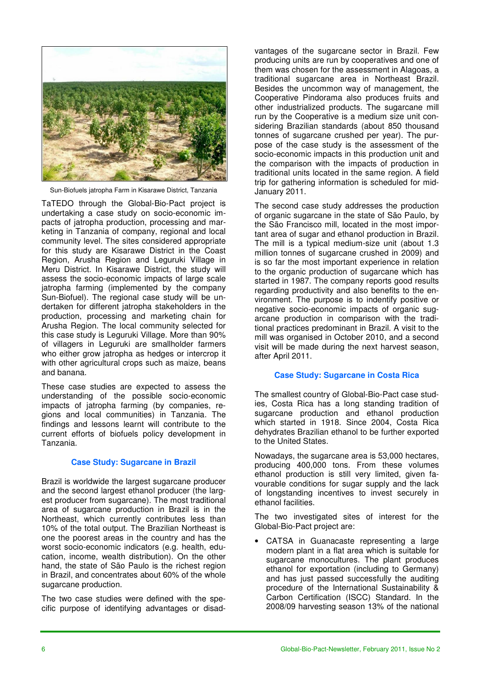

Sun-Biofuels jatropha Farm in Kisarawe District, Tanzania

TaTEDO through the Global-Bio-Pact project is undertaking a case study on socio-economic impacts of jatropha production, processing and marketing in Tanzania of company, regional and local community level. The sites considered appropriate for this study are Kisarawe District in the Coast Region, Arusha Region and Leguruki Village in Meru District. In Kisarawe District, the study will assess the socio-economic impacts of large scale jatropha farming (implemented by the company Sun-Biofuel). The regional case study will be undertaken for different jatropha stakeholders in the production, processing and marketing chain for Arusha Region. The local community selected for this case study is Leguruki Village. More than 90% of villagers in Leguruki are smallholder farmers who either grow jatropha as hedges or intercrop it with other agricultural crops such as maize, beans and banana.

These case studies are expected to assess the understanding of the possible socio-economic impacts of jatropha farming (by companies, regions and local communities) in Tanzania. The findings and lessons learnt will contribute to the current efforts of biofuels policy development in Tanzania.

# **Case Study: Sugarcane in Brazil**

Brazil is worldwide the largest sugarcane producer and the second largest ethanol producer (the largest producer from sugarcane). The most traditional area of sugarcane production in Brazil is in the Northeast, which currently contributes less than 10% of the total output. The Brazilian Northeast is one the poorest areas in the country and has the worst socio-economic indicators (e.g. health, education, income, wealth distribution). On the other hand, the state of São Paulo is the richest region in Brazil, and concentrates about 60% of the whole sugarcane production.

The two case studies were defined with the specific purpose of identifying advantages or disadvantages of the sugarcane sector in Brazil. Few producing units are run by cooperatives and one of them was chosen for the assessment in Alagoas, a traditional sugarcane area in Northeast Brazil. Besides the uncommon way of management, the Cooperative Pindorama also produces fruits and other industrialized products. The sugarcane mill run by the Cooperative is a medium size unit considering Brazilian standards (about 850 thousand tonnes of sugarcane crushed per year). The purpose of the case study is the assessment of the socio-economic impacts in this production unit and the comparison with the impacts of production in traditional units located in the same region. A field trip for gathering information is scheduled for mid-January 2011.

The second case study addresses the production of organic sugarcane in the state of São Paulo, by the São Francisco mill, located in the most important area of sugar and ethanol production in Brazil. The mill is a typical medium-size unit (about 1.3 million tonnes of sugarcane crushed in 2009) and is so far the most important experience in relation to the organic production of sugarcane which has started in 1987. The company reports good results regarding productivity and also benefits to the environment. The purpose is to indentify positive or negative socio-economic impacts of organic sugarcane production in comparison with the traditional practices predominant in Brazil. A visit to the mill was organised in October 2010, and a second visit will be made during the next harvest season, after April 2011.

# **Case Study: Sugarcane in Costa Rica**

The smallest country of Global-Bio-Pact case studies, Costa Rica has a long standing tradition of sugarcane production and ethanol production which started in 1918. Since 2004, Costa Rica dehydrates Brazilian ethanol to be further exported to the United States.

Nowadays, the sugarcane area is 53,000 hectares, producing 400,000 tons. From these volumes ethanol production is still very limited, given favourable conditions for sugar supply and the lack of longstanding incentives to invest securely in ethanol facilities.

The two investigated sites of interest for the Global-Bio-Pact project are:

• CATSA in Guanacaste representing a large modern plant in a flat area which is suitable for sugarcane monocultures. The plant produces ethanol for exportation (including to Germany) and has just passed successfully the auditing procedure of the International Sustainability & Carbon Certification (ISCC) Standard. In the 2008/09 harvesting season 13% of the national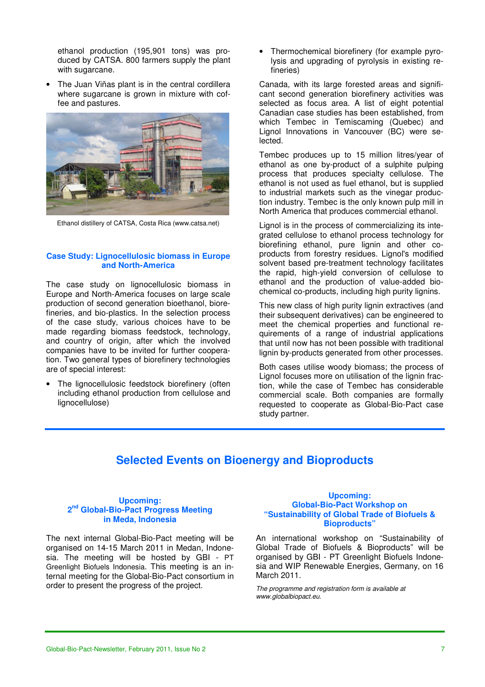ethanol production (195,901 tons) was produced by CATSA. 800 farmers supply the plant with sugarcane.

• The Juan Viñas plant is in the central cordillera where sugarcane is grown in mixture with coffee and pastures.



Ethanol distillery of CATSA, Costa Rica (www.catsa.net)

### **Case Study: Lignocellulosic biomass in Europe and North-America**

The case study on lignocellulosic biomass in Europe and North-America focuses on large scale production of second generation bioethanol, biorefineries, and bio-plastics. In the selection process of the case study, various choices have to be made regarding biomass feedstock, technology, and country of origin, after which the involved companies have to be invited for further cooperation. Two general types of biorefinery technologies are of special interest:

The lignocellulosic feedstock biorefinery (often including ethanol production from cellulose and lignocellulose)

• Thermochemical biorefinery (for example pyrolysis and upgrading of pyrolysis in existing refineries)

Canada, with its large forested areas and significant second generation biorefinery activities was selected as focus area. A list of eight potential Canadian case studies has been established, from which Tembec in Temiscaming (Quebec) and Lignol Innovations in Vancouver (BC) were selected.

Tembec produces up to 15 million litres/year of ethanol as one by-product of a sulphite pulping process that produces specialty cellulose. The ethanol is not used as fuel ethanol, but is supplied to industrial markets such as the vinegar production industry. Tembec is the only known pulp mill in North America that produces commercial ethanol.

Lignol is in the process of commercializing its integrated cellulose to ethanol process technology for biorefining ethanol, pure lignin and other coproducts from forestry residues. Lignol's modified solvent based pre-treatment technology facilitates the rapid, high-yield conversion of cellulose to ethanol and the production of value-added biochemical co-products, including high purity lignins.

This new class of high purity lignin extractives (and their subsequent derivatives) can be engineered to meet the chemical properties and functional requirements of a range of industrial applications that until now has not been possible with traditional lignin by-products generated from other processes.

Both cases utilise woody biomass; the process of Lignol focuses more on utilisation of the lignin fraction, while the case of Tembec has considerable commercial scale. Both companies are formally requested to cooperate as Global-Bio-Pact case study partner.

# **Selected Events on Bioenergy and Bioproducts**

#### **Upcoming: 2 nd Global-Bio-Pact Progress Meeting in Meda, Indonesia**

The next internal Global-Bio-Pact meeting will be organised on 14-15 March 2011 in Medan, Indonesia. The meeting will be hosted by GBI - PT Greenlight Biofuels Indonesia. This meeting is an internal meeting for the Global-Bio-Pact consortium in order to present the progress of the project.

#### **Upcoming: Global-Bio-Pact Workshop on "Sustainability of Global Trade of Biofuels & Bioproducts"**

An international workshop on "Sustainability of Global Trade of Biofuels & Bioproducts" will be organised by GBI - PT Greenlight Biofuels Indonesia and WIP Renewable Energies, Germany, on 16 March 2011.

*The programme and registration form is available at www.globalbiopact.eu.*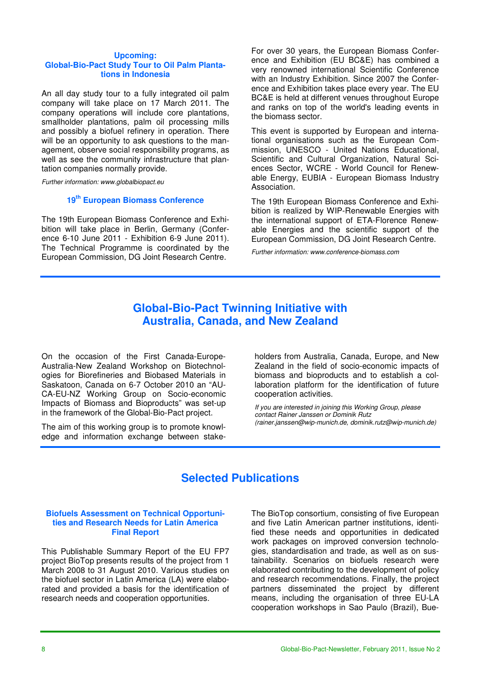#### **Upcoming: Global-Bio-Pact Study Tour to Oil Palm Plantations in Indonesia**

An all day study tour to a fully integrated oil palm company will take place on 17 March 2011. The company operations will include core plantations, smallholder plantations, palm oil processing mills and possibly a biofuel refinery in operation. There will be an opportunity to ask questions to the management, observe social responsibility programs, as well as see the community infrastructure that plantation companies normally provide.

*Further information: www.globalbiopact.eu* 

# **19th European Biomass Conference**

The 19th European Biomass Conference and Exhibition will take place in Berlin, Germany (Conference 6-10 June 2011 - Exhibition 6-9 June 2011). The Technical Programme is coordinated by the European Commission, DG Joint Research Centre.

For over 30 years, the European Biomass Conference and Exhibition (EU BC&E) has combined a very renowned international Scientific Conference with an Industry Exhibition. Since 2007 the Conference and Exhibition takes place every year. The EU BC&E is held at different venues throughout Europe and ranks on top of the world's leading events in the biomass sector.

This event is supported by European and international organisations such as the European Commission, UNESCO - United Nations Educational, Scientific and Cultural Organization, Natural Sciences Sector, WCRE - World Council for Renewable Energy, EUBIA - European Biomass Industry Association.

The 19th European Biomass Conference and Exhibition is realized by WIP-Renewable Energies with the international support of ETA-Florence Renewable Energies and the scientific support of the European Commission, DG Joint Research Centre.

*Further information: www.conference-biomass.com* 

# **Global-Bio-Pact Twinning Initiative with Australia, Canada, and New Zealand**

On the occasion of the First Canada-Europe-Australia-New Zealand Workshop on Biotechnologies for Biorefineries and Biobased Materials in Saskatoon, Canada on 6-7 October 2010 an "AU-CA-EU-NZ Working Group on Socio-economic Impacts of Biomass and Bioproducts" was set-up in the framework of the Global-Bio-Pact project.

The aim of this working group is to promote knowledge and information exchange between stakeholders from Australia, Canada, Europe, and New Zealand in the field of socio-economic impacts of biomass and bioproducts and to establish a collaboration platform for the identification of future cooperation activities.

*If you are interested in joining this Working Group, please contact Rainer Janssen or Dominik Rutz (rainer.janssen@wip-munich.de, dominik.rutz@wip-munich.de)* 

# **Selected Publications**

#### **Biofuels Assessment on Technical Opportunities and Research Needs for Latin America Final Report**

This Publishable Summary Report of the EU FP7 project BioTop presents results of the project from 1 March 2008 to 31 August 2010. Various studies on the biofuel sector in Latin America (LA) were elaborated and provided a basis for the identification of research needs and cooperation opportunities.

The BioTop consortium, consisting of five European and five Latin American partner institutions, identified these needs and opportunities in dedicated work packages on improved conversion technologies, standardisation and trade, as well as on sustainability. Scenarios on biofuels research were elaborated contributing to the development of policy and research recommendations. Finally, the project partners disseminated the project by different means, including the organisation of three EU-LA cooperation workshops in Sao Paulo (Brazil), Bue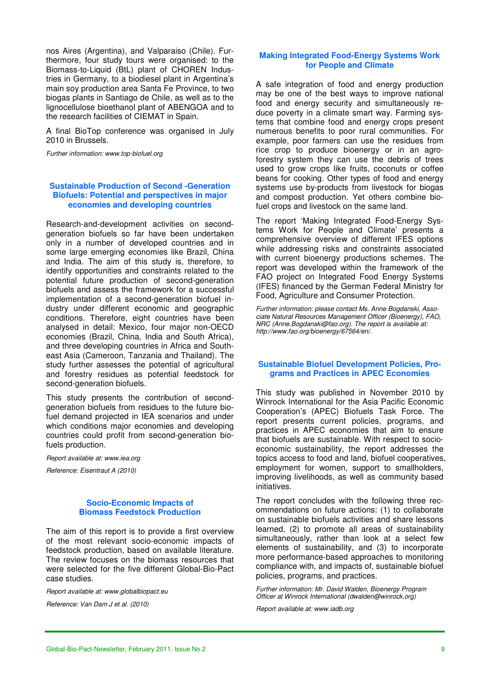nos Aires (Argentina), and Valparaiso (Chile). Furthermore, four study tours were organised: to the Biomass-to-Liquid (BtL) plant of CHOREN Industries in Germany, to a biodiesel plant in Argentina's main soy production area Santa Fe Province, to two biogas plants in Santiago de Chile, as well as to the lignocellulose bioethanol plant of ABENGOA and to the research facilities of CIEMAT in Spain.

A final BioTop conference was organised in July 2010 in Brussels.

*Further information: www.top-biofuel.org* 

#### **Sustainable Production of Second -Generation Biofuels: Potential and perspectives in major economies and developing countries**

Research-and-development activities on secondgeneration biofuels so far have been undertaken only in a number of developed countries and in some large emerging economies like Brazil, China and India. The aim of this study is, therefore, to identify opportunities and constraints related to the potential future production of second-generation biofuels and assess the framework for a successful implementation of a second-generation biofuel industry under different economic and geographic conditions. Therefore, eight countries have been analysed in detail: Mexico, four major non-OECD economies (Brazil, China, India and South Africa), and three developing countries in Africa and Southeast Asia (Cameroon, Tanzania and Thailand). The study further assesses the potential of agricultural and forestry residues as potential feedstock for second-generation biofuels.

This study presents the contribution of secondgeneration biofuels from residues to the future biofuel demand projected in IEA scenarios and under which conditions major economies and developing countries could profit from second-generation biofuels production.

*Report available at: www.iea.org* 

*Reference: Eisentraut A (2010)* 

#### **Socio-Economic Impacts of Biomass Feedstock Production**

The aim of this report is to provide a first overview of the most relevant socio-economic impacts of feedstock production, based on available literature. The review focuses on the biomass resources that were selected for the five different Global-Bio-Pact case studies.

*Report available at: www.globalbiopact.eu* 

*Reference: Van Dam J et al. (2010)* 

#### **Making Integrated Food-Energy Systems Work for People and Climate**

A safe integration of food and energy production may be one of the best ways to improve national food and energy security and simultaneously reduce poverty in a climate smart way. Farming systems that combine food and energy crops present numerous benefits to poor rural communities. For example, poor farmers can use the residues from rice crop to produce bioenergy or in an agroforestry system they can use the debris of trees used to grow crops like fruits, coconuts or coffee beans for cooking. Other types of food and energy systems use by-products from livestock for biogas and compost production. Yet others combine biofuel crops and livestock on the same land.

The report 'Making Integrated Food-Energy Systems Work for People and Climate' presents a comprehensive overview of different IFES options while addressing risks and constraints associated with current bioenergy productions schemes. The report was developed within the framework of the FAO project on Integrated Food Energy Systems (IFES) financed by the German Federal Ministry for Food, Agriculture and Consumer Protection.

*Further information: please contact Ms. Anne Bogdanski, Associate Natural Resources Management Officer (Bioenergy), FAO, NRC (Anne.Bogdanski@fao.org). The report is available at: http://www.fao.org/bioenergy/67564/en/.* 

#### **Sustainable Biofuel Development Policies, Programs and Practices in APEC Economies**

This study was published in November 2010 by Winrock International for the Asia Pacific Economic Cooperation's (APEC) Biofuels Task Force. The report presents current policies, programs, and practices in APEC economies that aim to ensure that biofuels are sustainable. With respect to socioeconomic sustainability, the report addresses the topics access to food and land, biofuel cooperatives, employment for women, support to smallholders, improving livelihoods, as well as community based initiatives.

The report concludes with the following three recommendations on future actions: (1) to collaborate on sustainable biofuels activities and share lessons learned, (2) to promote all areas of sustainability simultaneously, rather than look at a select few elements of sustainability, and (3) to incorporate more performance-based approaches to monitoring compliance with, and impacts of, sustainable biofuel policies, programs, and practices.

*Further information: Mr. David Walden, Bioenergy Program Officer at Winrock International (dwalden@winrock.org)* 

*Report available at: www.iadb.org*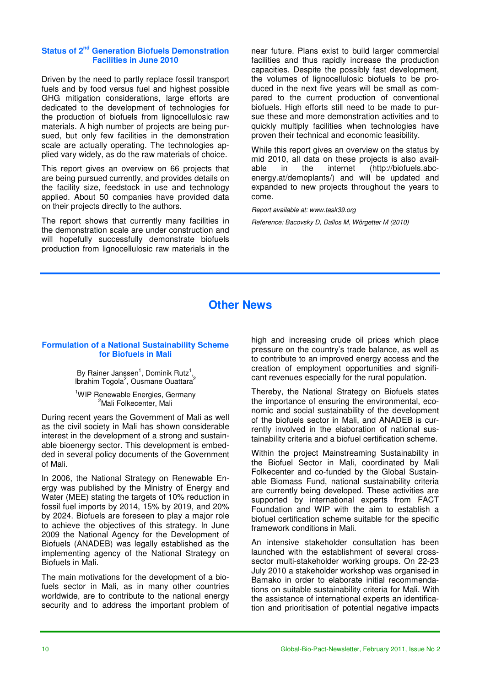### **Status of 2nd Generation Biofuels Demonstration Facilities in June 2010**

Driven by the need to partly replace fossil transport fuels and by food versus fuel and highest possible GHG mitigation considerations, large efforts are dedicated to the development of technologies for the production of biofuels from lignocellulosic raw materials. A high number of projects are being pursued, but only few facilities in the demonstration scale are actually operating. The technologies applied vary widely, as do the raw materials of choice.

This report gives an overview on 66 projects that are being pursued currently, and provides details on the facility size, feedstock in use and technology applied. About 50 companies have provided data on their projects directly to the authors.

The report shows that currently many facilities in the demonstration scale are under construction and will hopefully successfully demonstrate biofuels production from lignocellulosic raw materials in the

near future. Plans exist to build larger commercial facilities and thus rapidly increase the production capacities. Despite the possibly fast development, the volumes of lignocellulosic biofuels to be produced in the next five years will be small as compared to the current production of conventional biofuels. High efforts still need to be made to pursue these and more demonstration activities and to quickly multiply facilities when technologies have proven their technical and economic feasibility.

While this report gives an overview on the status by mid 2010, all data on these projects is also available in the internet (http://biofuels.abcenergy.at/demoplants/) and will be updated and expanded to new projects throughout the years to come.

*Report available at: www.task39.org* 

*Reference: Bacovsky D, Dallos M, Wörgetter M (2010)*

# **Other News**

#### **Formulation of a National Sustainability Scheme for Biofuels in Mali**

By Rainer Janssen<sup>1</sup>, Dominik Rutz<sup>1</sup>, Ibrahim Togola<sup>2</sup>, Ousmane Ouattara<sup>2</sup>

<sup>1</sup>WIP Renewable Energies, Germany <sup>2</sup>Mali Folkecenter, Mali

During recent years the Government of Mali as well as the civil society in Mali has shown considerable interest in the development of a strong and sustainable bioenergy sector. This development is embedded in several policy documents of the Government of Mali.

In 2006, the National Strategy on Renewable Energy was published by the Ministry of Energy and Water (MEE) stating the targets of 10% reduction in fossil fuel imports by 2014, 15% by 2019, and 20% by 2024. Biofuels are foreseen to play a major role to achieve the objectives of this strategy. In June 2009 the National Agency for the Development of Biofuels (ANADEB) was legally established as the implementing agency of the National Strategy on Biofuels in Mali.

The main motivations for the development of a biofuels sector in Mali, as in many other countries worldwide, are to contribute to the national energy security and to address the important problem of

high and increasing crude oil prices which place pressure on the country's trade balance, as well as to contribute to an improved energy access and the creation of employment opportunities and significant revenues especially for the rural population.

Thereby, the National Strategy on Biofuels states the importance of ensuring the environmental, economic and social sustainability of the development of the biofuels sector in Mali, and ANADEB is currently involved in the elaboration of national sustainability criteria and a biofuel certification scheme.

Within the project Mainstreaming Sustainability in the Biofuel Sector in Mali, coordinated by Mali Folkecenter and co-funded by the Global Sustainable Biomass Fund, national sustainability criteria are currently being developed. These activities are supported by international experts from FACT Foundation and WIP with the aim to establish a biofuel certification scheme suitable for the specific framework conditions in Mali.

An intensive stakeholder consultation has been launched with the establishment of several crosssector multi-stakeholder working groups. On 22-23 July 2010 a stakeholder workshop was organised in Bamako in order to elaborate initial recommendations on suitable sustainability criteria for Mali. With the assistance of international experts an identification and prioritisation of potential negative impacts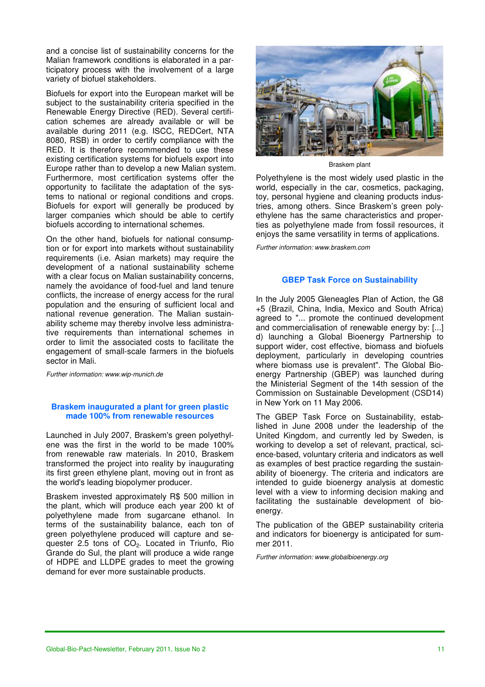and a concise list of sustainability concerns for the Malian framework conditions is elaborated in a participatory process with the involvement of a large variety of biofuel stakeholders.

Biofuels for export into the European market will be subject to the sustainability criteria specified in the Renewable Energy Directive (RED). Several certification schemes are already available or will be available during 2011 (e.g. ISCC, REDCert, NTA 8080, RSB) in order to certify compliance with the RED. It is therefore recommended to use these existing certification systems for biofuels export into Europe rather than to develop a new Malian system. Furthermore, most certification systems offer the opportunity to facilitate the adaptation of the systems to national or regional conditions and crops. Biofuels for export will generally be produced by larger companies which should be able to certify biofuels according to international schemes.

On the other hand, biofuels for national consumption or for export into markets without sustainability requirements (i.e. Asian markets) may require the development of a national sustainability scheme with a clear focus on Malian sustainability concerns, namely the avoidance of food-fuel and land tenure conflicts, the increase of energy access for the rural population and the ensuring of sufficient local and national revenue generation. The Malian sustainability scheme may thereby involve less administrative requirements than international schemes in order to limit the associated costs to facilitate the engagement of small-scale farmers in the biofuels sector in Mali.

*Further information: www.wip-munich.de* 

### **Braskem inaugurated a plant for green plastic made 100% from renewable resources**

Launched in July 2007, Braskem's green polyethylene was the first in the world to be made 100% from renewable raw materials. In 2010, Braskem transformed the project into reality by inaugurating its first green ethylene plant, moving out in front as the world's leading biopolymer producer.

Braskem invested approximately R\$ 500 million in the plant, which will produce each year 200 kt of polyethylene made from sugarcane ethanol. In terms of the sustainability balance, each ton of green polyethylene produced will capture and sequester 2.5 tons of CO<sub>2</sub>. Located in Triunfo, Rio Grande do Sul, the plant will produce a wide range of HDPE and LLDPE grades to meet the growing demand for ever more sustainable products.



Braskem plant

Polyethylene is the most widely used plastic in the world, especially in the car, cosmetics, packaging, toy, personal hygiene and cleaning products industries, among others. Since Braskem's green polyethylene has the same characteristics and properties as polyethylene made from fossil resources, it enjoys the same versatility in terms of applications.

*Further information: www.braskem.com* 

#### **GBEP Task Force on Sustainability**

In the July 2005 Gleneagles Plan of Action, the G8 +5 (Brazil, China, India, Mexico and South Africa) agreed to "... promote the continued development and commercialisation of renewable energy by: [...] d) launching a Global Bioenergy Partnership to support wider, cost effective, biomass and biofuels deployment, particularly in developing countries where biomass use is prevalent". The Global Bioenergy Partnership (GBEP) was launched during the Ministerial Segment of the 14th session of the Commission on Sustainable Development (CSD14) in New York on 11 May 2006.

The GBEP Task Force on Sustainability, established in June 2008 under the leadership of the United Kingdom, and currently led by Sweden, is working to develop a set of relevant, practical, science-based, voluntary criteria and indicators as well as examples of best practice regarding the sustainability of bioenergy. The criteria and indicators are intended to guide bioenergy analysis at domestic level with a view to informing decision making and facilitating the sustainable development of bioenergy.

The publication of the GBEP sustainability criteria and indicators for bioenergy is anticipated for summer 2011.

*Further information: www.globalbioenergy.org*